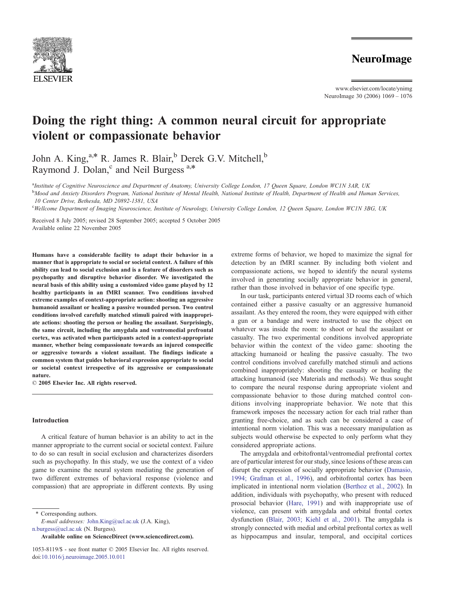

www.elsevier.com/locate/ynimg NeuroImage 30 (2006) 1069 – 1076

# Doing the right thing: A common neural circuit for appropriate violent or compassionate behavior

John A. King,<sup>a,\*</sup> R. James R. Blair,<sup>b</sup> Derek G.V. Mitchell,<sup>b</sup> Raymond J. Dolan, $^{\circ}$  and Neil Burgess  $^{a,*}$ 

a Institute of Cognitive Neuroscience and Department of Anatomy, University College London, 17 Queen Square, London WC1N 3AR, UK **Mood and Anxiety Disorders Program, National Institute of Mental Health, National Institute of Health, Department of Health and Human Services,** 

10 Center Drive, Bethesda, MD 20892-1381, USA

e<br>Wellcome Department of Imaging Neuroscience, Institute of Neurology, University College London, 12 Queen Square, London WC1N 3BG, UK

Received 8 July 2005; revised 28 September 2005; accepted 5 October 2005 Available online 22 November 2005

Humans have a considerable facility to adapt their behavior in a manner that is appropriate to social or societal context. A failure of this ability can lead to social exclusion and is a feature of disorders such as psychopathy and disruptive behavior disorder. We investigated the neural basis of this ability using a customized video game played by 12 healthy participants in an fMRI scanner. Two conditions involved extreme examples of context-appropriate action: shooting an aggressive humanoid assailant or healing a passive wounded person. Two control conditions involved carefully matched stimuli paired with inappropriate actions: shooting the person or healing the assailant. Surprisingly, the same circuit, including the amygdala and ventromedial prefrontal cortex, was activated when participants acted in a context-appropriate manner, whether being compassionate towards an injured conspecific or aggressive towards a violent assailant. The findings indicate a common system that guides behavioral expression appropriate to social or societal context irrespective of its aggressive or compassionate nature.

 $© 2005 Elsevier Inc. All rights reserved.$ 

## Introduction

A critical feature of human behavior is an ability to act in the manner appropriate to the current social or societal context. Failure to do so can result in social exclusion and characterizes disorders such as psychopathy. In this study, we use the context of a video game to examine the neural system mediating the generation of two different extremes of behavioral response (violence and compassion) that are appropriate in different contexts. By using

\* Corresponding authors.

E-mail addresses: [John.King@ucl.ac.uk](mailto:John.King@ucl.ac.uk) (J.A. King), [n.burgess@ucl.ac.uk](mailto:n.burgess@ucl.ac.uk) (N. Burgess).

Available online on ScienceDirect ([www.sciencedirect.com](http://www.sciencedirect.com)).

extreme forms of behavior, we hoped to maximize the signal for detection by an fMRI scanner. By including both violent and compassionate actions, we hoped to identify the neural systems involved in generating socially appropriate behavior in general, rather than those involved in behavior of one specific type.

In our task, participants entered virtual 3D rooms each of which contained either a passive casualty or an aggressive humanoid assailant. As they entered the room, they were equipped with either a gun or a bandage and were instructed to use the object on whatever was inside the room: to shoot or heal the assailant or casualty. The two experimental conditions involved appropriate behavior within the context of the video game: shooting the attacking humanoid or healing the passive casualty. The two control conditions involved carefully matched stimuli and actions combined inappropriately: shooting the casualty or healing the attacking humanoid (see Materials and methods). We thus sought to compare the neural response during appropriate violent and compassionate behavior to those during matched control conditions involving inappropriate behavior. We note that this framework imposes the necessary action for each trial rather than granting free-choice, and as such can be considered a case of intentional norm violation. This was a necessary manipulation as subjects would otherwise be expected to only perform what they considered appropriate actions.

The amygdala and orbitofrontal/ventromedial prefrontal cortex are of particular interest for our study, since lesions of these areas can disrupt the expression of socially appropriate behavior ([Damasio,](#page-6-0) 1994; Grafman et al., 1996), and orbitofrontal cortex has been implicated in intentional norm violation ([Berthoz et al., 2002\)](#page-6-0). In addition, individuals with psychopathy, who present with reduced prosocial behavior ([Hare, 1991\)](#page-6-0) and with inappropriate use of violence, can present with amygdala and orbital frontal cortex dysfunction ([Blair, 2003; Kiehl et al., 2001\)](#page-6-0). The amygdala is strongly connected with medial and orbital prefrontal cortex as well as hippocampus and insular, temporal, and occipital cortices

<sup>1053-8119/\$ -</sup> see front matter © 2005 Elsevier Inc. All rights reserved. doi:[10.1016/j.neuroimage.2005.10.011](http://dx.doi.org/10.1016/j.neuroimage.2005.10.011)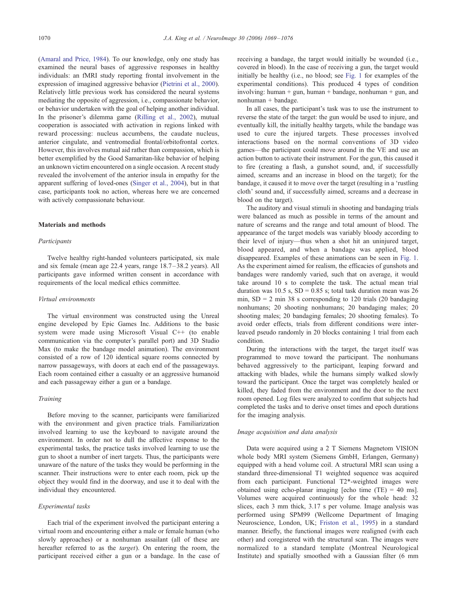([Amaral and Price, 1984\)](#page-6-0). To our knowledge, only one study has examined the neural bases of aggressive responses in healthy individuals: an fMRI study reporting frontal involvement in the expression of imagined aggressive behavior ([Pietrini et al., 2000\)](#page-6-0). Relatively little previous work has considered the neural systems mediating the opposite of aggression, i.e., compassionate behavior, or behavior undertaken with the goal of helping another individual. In the prisoner's dilemma game ([Rilling et al., 2002\)](#page-7-0), mutual cooperation is associated with activation in regions linked with reward processing: nucleus accumbens, the caudate nucleus, anterior cingulate, and ventromedial frontal/orbitofrontal cortex. However, this involves mutual aid rather than compassion, which is better exemplified by the Good Samaritan-like behavior of helping an unknown victim encountered on a single occasion. A recent study revealed the involvement of the anterior insula in empathy for the apparent suffering of loved-ones ([Singer et al., 2004\)](#page-7-0), but in that case, participants took no action, whereas here we are concerned with actively compassionate behaviour.

## Materials and methods

## Participants

Twelve healthy right-handed volunteers participated, six male and six female (mean age 22.4 years, range 18.7 – 38.2 years). All participants gave informed written consent in accordance with requirements of the local medical ethics committee.

#### Virtual environments

The virtual environment was constructed using the Unreal engine developed by Epic Games Inc. Additions to the basic system were made using Microsoft Visual C++ (to enable communication via the computer's parallel port) and 3D Studio Max (to make the bandage model animation). The environment consisted of a row of 120 identical square rooms connected by narrow passageways, with doors at each end of the passageways. Each room contained either a casualty or an aggressive humanoid and each passageway either a gun or a bandage.

## Training

Before moving to the scanner, participants were familiarized with the environment and given practice trials. Familiarization involved learning to use the keyboard to navigate around the environment. In order not to dull the affective response to the experimental tasks, the practice tasks involved learning to use the gun to shoot a number of inert targets. Thus, the participants were unaware of the nature of the tasks they would be performing in the scanner. Their instructions were to enter each room, pick up the object they would find in the doorway, and use it to deal with the individual they encountered.

## Experimental tasks

Each trial of the experiment involved the participant entering a virtual room and encountering either a male or female human (who slowly approaches) or a nonhuman assailant (all of these are hereafter referred to as the *target*). On entering the room, the participant received either a gun or a bandage. In the case of receiving a bandage, the target would initially be wounded (i.e., covered in blood). In the case of receiving a gun, the target would initially be healthy (i.e., no blood; see [Fig. 1](#page-2-0) for examples of the experimental conditions). This produced 4 types of condition involving: human + gun, human + bandage, nonhuman + gun, and nonhuman + bandage.

In all cases, the participant's task was to use the instrument to reverse the state of the target: the gun would be used to injure, and eventually kill, the initially healthy targets, while the bandage was used to cure the injured targets. These processes involved interactions based on the normal conventions of 3D video games—the participant could move around in the VE and use an action button to activate their instrument. For the gun, this caused it to fire (creating a flash, a gunshot sound, and, if successfully aimed, screams and an increase in blood on the target); for the bandage, it caused it to move over the target (resulting in a 'rustling cloth' sound and, if successfully aimed, screams and a decrease in blood on the target).

The auditory and visual stimuli in shooting and bandaging trials were balanced as much as possible in terms of the amount and nature of screams and the range and total amount of blood. The appearance of the target models was variably bloody according to their level of injury—thus when a shot hit an uninjured target, blood appeared, and when a bandage was applied, blood disappeared. Examples of these animations can be seen in [Fig. 1.](#page-2-0) As the experiment aimed for realism, the efficacies of gunshots and bandages were randomly varied, such that on average, it would take around 10 s to complete the task. The actual mean trial duration was 10.5 s,  $SD = 0.85$  s; total task duration mean was 26 min,  $SD = 2$  min 38 s corresponding to 120 trials (20 bandaging nonhumans; 20 shooting nonhumans; 20 bandaging males; 20 shooting males; 20 bandaging females; 20 shooting females). To avoid order effects, trials from different conditions were interleaved pseudo randomly in 20 blocks containing 1 trial from each condition.

During the interactions with the target, the target itself was programmed to move toward the participant. The nonhumans behaved aggressively to the participant, leaping forward and attacking with blades, while the humans simply walked slowly toward the participant. Once the target was completely healed or killed, they faded from the environment and the door to the next room opened. Log files were analyzed to confirm that subjects had completed the tasks and to derive onset times and epoch durations for the imaging analysis.

#### Image acquisition and data analysis

Data were acquired using a 2 T Siemens Magnetom VISION whole body MRI system (Siemens GmbH, Erlangen, Germany) equipped with a head volume coil. A structural MRI scan using a standard three-dimensional T1 weighted sequence was acquired from each participant. Functional T2\*-weighted images were obtained using echo-planar imaging [echo time (TE) = 40 ms]. Volumes were acquired continuously for the whole head: 32 slices, each 3 mm thick, 3.17 s per volume. Image analysis was performed using SPM99 (Wellcome Department of Imaging Neuroscience, London, UK; [Friston et al., 1995\)](#page-6-0) in a standard manner. Briefly, the functional images were realigned (with each other) and coregistered with the structural scan. The images were normalized to a standard template (Montreal Neurological Institute) and spatially smoothed with a Gaussian filter (6 mm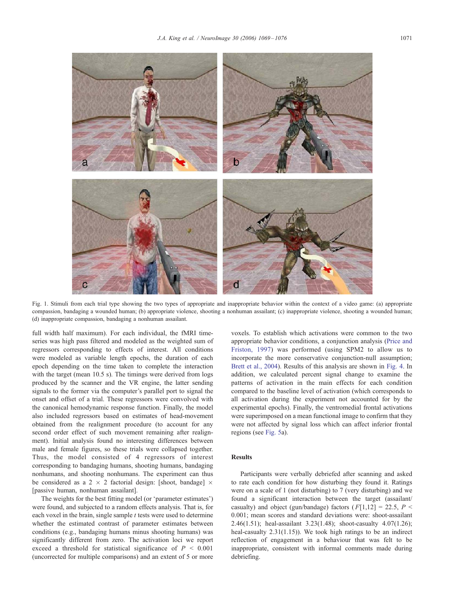<span id="page-2-0"></span>

Fig. 1. Stimuli from each trial type showing the two types of appropriate and inappropriate behavior within the context of a video game: (a) appropriate compassion, bandaging a wounded human; (b) appropriate violence, shooting a nonhuman assailant; (c) inappropriate violence, shooting a wounded human; (d) inappropriate compassion, bandaging a nonhuman assailant.

full width half maximum). For each individual, the fMRI timeseries was high pass filtered and modeled as the weighted sum of regressors corresponding to effects of interest. All conditions were modeled as variable length epochs, the duration of each epoch depending on the time taken to complete the interaction with the target (mean 10.5 s). The timings were derived from logs produced by the scanner and the VR engine, the latter sending signals to the former via the computer's parallel port to signal the onset and offset of a trial. These regressors were convolved with the canonical hemodynamic response function. Finally, the model also included regressors based on estimates of head-movement obtained from the realignment procedure (to account for any second order effect of such movement remaining after realignment). Initial analysis found no interesting differences between male and female figures, so these trials were collapsed together. Thus, the model consisted of 4 regressors of interest corresponding to bandaging humans, shooting humans, bandaging nonhumans, and shooting nonhumans. The experiment can thus be considered as a 2  $\times$  2 factorial design: [shoot, bandage]  $\times$ [passive human, nonhuman assailant].

The weights for the best fitting model (or 'parameter estimates') were found, and subjected to a random effects analysis. That is, for each voxel in the brain, single sample  $t$  tests were used to determine whether the estimated contrast of parameter estimates between conditions (e.g., bandaging humans minus shooting humans) was significantly different from zero. The activation loci we report exceed a threshold for statistical significance of P < 0.001 (uncorrected for multiple comparisons) and an extent of 5 or more

voxels. To establish which activations were common to the two appropriate behavior conditions, a conjunction analysis ([Price and](#page-6-0) Friston, 1997) was performed (using SPM2 to allow us to incorporate the more conservative conjunction-null assumption; [Brett et al., 2004\)](#page-6-0). Results of this analysis are shown in [Fig. 4.](#page-5-0) In addition, we calculated percent signal change to examine the patterns of activation in the main effects for each condition compared to the baseline level of activation (which corresponds to all activation during the experiment not accounted for by the experimental epochs). Finally, the ventromedial frontal activations were superimposed on a mean functional image to confirm that they were not affected by signal loss which can affect inferior frontal regions (see [Fig. 5a](#page-5-0)).

## Results

Participants were verbally debriefed after scanning and asked to rate each condition for how disturbing they found it. Ratings were on a scale of 1 (not disturbing) to 7 (very disturbing) and we found a significant interaction between the target (assailant/ casualty) and object (gun/bandage) factors ( $F[1,12] = 22.5$ ,  $P \leq$ 0.001; mean scores and standard deviations were: shoot-assailant 2.46(1.51); heal-assailant 3.23(1.48); shoot-casualty 4.07(1.26); heal-casualty 2.31(1.15)). We took high ratings to be an indirect reflection of engagement in a behaviour that was felt to be inappropriate, consistent with informal comments made during debriefing.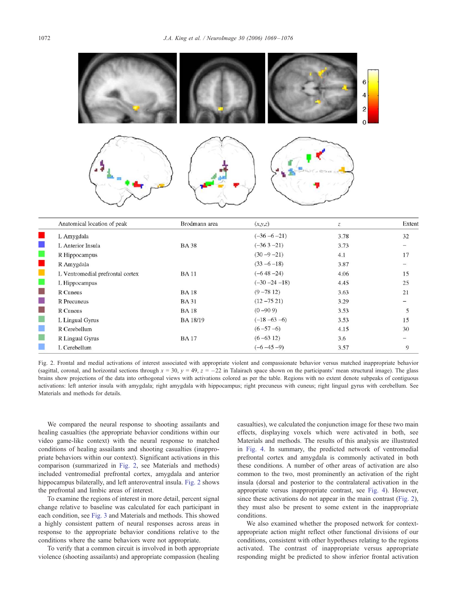

|                | Anatomical location of peak      | Brodmann area   | (x,y,z)           | Z    | Extent |
|----------------|----------------------------------|-----------------|-------------------|------|--------|
| П              | L Amygdala                       |                 | $(-36 - 6 - 21)$  | 3.78 | 32     |
| $\mathbb{R}^3$ | L Anterior Insula                | <b>BA38</b>     | $(-363 - 21)$     | 3.73 |        |
| H.             | R Hippocampus                    |                 | $(30 - 9 - 21)$   | 4.1  | 17     |
| $\mathbb{R}^3$ | R Amygdala                       |                 | $(33 - 6 - 18)$   | 3.87 |        |
| T.             | L Ventromedial prefrontal cortex | <b>BA11</b>     | $(-648 - 24)$     | 4.06 | 15     |
| E.             | L Hippocampus                    |                 | $(-30 - 24 - 18)$ | 4.45 | 25     |
| n,             | R Cuneus                         | <b>BA18</b>     | $(9 - 7812)$      | 3.63 | 21     |
| E.             | R Precuneus                      | <b>BA31</b>     | $(12 - 7521)$     | 3.29 |        |
| T I            | R Cuneus                         | <b>BA18</b>     | $(0 - 909)$       | 3.53 | 5      |
| H.             | L Lingual Gyrus                  | <b>BA 18/19</b> | $(-18 - 63 - 6)$  | 3.53 | 15     |
| D.             | R Cerebellum                     |                 | $(6 - 57 - 6)$    | 4.15 | 30     |
| T)             | R Lingual Gyrus                  | <b>BA17</b>     | $(6 - 63 12)$     | 3.6  |        |
| I. I           | L Cerebellum                     |                 | $(-6 - 45 - 9)$   | 3.57 | 9      |

Fig. 2. Frontal and medial activations of interest associated with appropriate violent and compassionate behavior versus matched inappropriate behavior (sagittal, coronal, and horizontal sections through  $x = 30$ ,  $y = 49$ ,  $z = -22$  in Talairach space shown on the participants' mean structural image). The glass brains show projections of the data into orthogonal views with activations colored as per the table. Regions with no extent denote subpeaks of contiguous activations: left anterior insula with amygdala; right amygdala with hippocampus; right precuneus with cuneus; right lingual gyrus with cerebellum. See Materials and methods for details.

We compared the neural response to shooting assailants and healing casualties (the appropriate behavior conditions within our video game-like context) with the neural response to matched conditions of healing assailants and shooting casualties (inappropriate behaviors within our context). Significant activations in this comparison (summarized in Fig. 2, see Materials and methods) included ventromedial prefrontal cortex, amygdala and anterior hippocampus bilaterally, and left anteroventral insula. Fig. 2 shows the prefrontal and limbic areas of interest.

To examine the regions of interest in more detail, percent signal change relative to baseline was calculated for each participant in each condition, see [Fig. 3](#page-4-0) and Materials and methods. This showed a highly consistent pattern of neural responses across areas in response to the appropriate behavior conditions relative to the conditions where the same behaviors were not appropriate.

To verify that a common circuit is involved in both appropriate violence (shooting assailants) and appropriate compassion (healing casualties), we calculated the conjunction image for these two main effects, displaying voxels which were activated in both, see Materials and methods. The results of this analysis are illustrated in [Fig. 4.](#page-5-0) In summary, the predicted network of ventromedial prefrontal cortex and amygdala is commonly activated in both these conditions. A number of other areas of activation are also common to the two, most prominently an activation of the right insula (dorsal and posterior to the contralateral activation in the appropriate versus inappropriate contrast, see [Fig. 4\)](#page-5-0). However, since these activations do not appear in the main contrast (Fig. 2), they must also be present to some extent in the inappropriate conditions.

We also examined whether the proposed network for contextappropriate action might reflect other functional divisions of our conditions, consistent with other hypotheses relating to the regions activated. The contrast of inappropriate versus appropriate responding might be predicted to show inferior frontal activation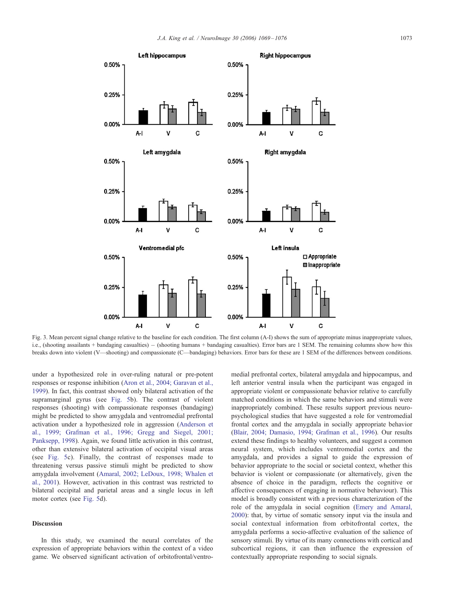<span id="page-4-0"></span>

Fig. 3. Mean percent signal change relative to the baseline for each condition. The first column (A-I) shows the sum of appropriate minus inappropriate values, i.e., (shooting assailants + bandaging casualties) - (shooting humans + bandaging casualties). Error bars are 1 SEM. The remaining columns show how this breaks down into violent (V—shooting) and compassionate (C—bandaging) behaviors. Error bars for these are 1 SEM of the differences between conditions.

under a hypothesized role in over-ruling natural or pre-potent responses or response inhibition ([Aron et al., 2004; Garavan et al.,](#page-6-0) 1999). In fact, this contrast showed only bilateral activation of the supramarginal gyrus (see [Fig. 5b](#page-5-0)). The contrast of violent responses (shooting) with compassionate responses (bandaging) might be predicted to show amygdala and ventromedial prefrontal activation under a hypothesized role in aggression ([Anderson et](#page-6-0) al., 1999; Grafman et al., 1996; Gregg and Siegel, 2001; Panksepp, 1998). Again, we found little activation in this contrast, other than extensive bilateral activation of occipital visual areas (see [Fig. 5c](#page-5-0)). Finally, the contrast of responses made to threatening versus passive stimuli might be predicted to show amygdala involvement ([Amaral, 2002; LeDoux, 1998; Whalen et](#page-6-0) al., 2001). However, activation in this contrast was restricted to bilateral occipital and parietal areas and a single locus in left motor cortex (see [Fig. 5d](#page-5-0)).

### Discussion

In this study, we examined the neural correlates of the expression of appropriate behaviors within the context of a video game. We observed significant activation of orbitofrontal/ventromedial prefrontal cortex, bilateral amygdala and hippocampus, and left anterior ventral insula when the participant was engaged in appropriate violent or compassionate behavior relative to carefully matched conditions in which the same behaviors and stimuli were inappropriately combined. These results support previous neuropsychological studies that have suggested a role for ventromedial frontal cortex and the amygdala in socially appropriate behavior ([Blair, 2004; Damasio, 1994; Grafman et al., 1996\)](#page-6-0). Our results extend these findings to healthy volunteers, and suggest a common neural system, which includes ventromedial cortex and the amygdala, and provides a signal to guide the expression of behavior appropriate to the social or societal context, whether this behavior is violent or compassionate (or alternatively, given the absence of choice in the paradigm, reflects the cognitive or affective consequences of engaging in normative behaviour). This model is broadly consistent with a previous characterization of the role of the amygdala in social cognition ([Emery and Amaral,](#page-6-0) 2000): that, by virtue of somatic sensory input via the insula and social contextual information from orbitofrontal cortex, the amygdala performs a socio-affective evaluation of the salience of sensory stimuli. By virtue of its many connections with cortical and subcortical regions, it can then influence the expression of contextually appropriate responding to social signals.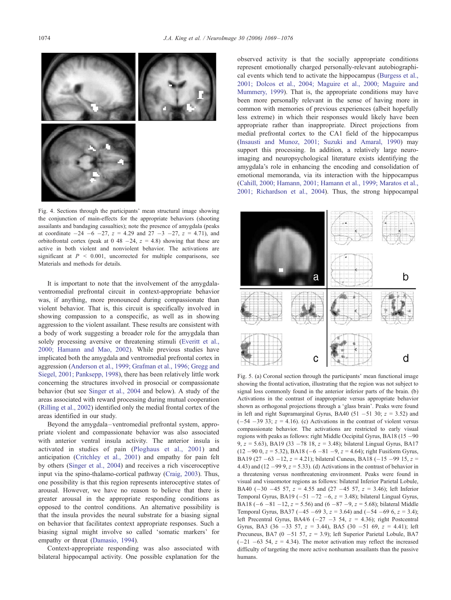<span id="page-5-0"></span>

Fig. 4. Sections through the participants' mean structural image showing the conjunction of main-effects for the appropriate behaviors (shooting assailants and bandaging casualties); note the presence of amygdala (peaks at coordinate  $-24 -6 -27$ ,  $z = 4.29$  and  $27 -3 -27$ ,  $z = 4.71$ ), and orbitofrontal cortex (peak at 0 48  $-24$ ,  $z = 4.8$ ) showing that these are active in both violent and nonviolent behavior. The activations are significant at  $P \leq 0.001$ , uncorrected for multiple comparisons, see Materials and methods for details.

It is important to note that the involvement of the amygdalaventromedial prefrontal circuit in context-appropriate behavior was, if anything, more pronounced during compassionate than violent behavior. That is, this circuit is specifically involved in showing compassion to a conspecific, as well as in showing aggression to the violent assailant. These results are consistent with a body of work suggesting a broader role for the amygdala than solely processing aversive or threatening stimuli ([Everitt et al.,](#page-6-0) 2000; Hamann and Mao, 2002). While previous studies have implicated both the amygdala and ventromedial prefrontal cortex in aggression ([Anderson et al., 1999; Grafman et al., 1996; Gregg and](#page-6-0) Siegel, 2001; Panksepp, 1998), there has been relatively little work concerning the structures involved in prosocial or compassionate behavior (but see [Singer et al., 2004](#page-7-0) and below). A study of the areas associated with reward processing during mutual cooperation ([Rilling et al., 2002\)](#page-7-0) identified only the medial frontal cortex of the areas identified in our study.

Beyond the amygdala – ventromedial prefrontal system, appropriate violent and compassionate behavior was also associated with anterior ventral insula activity. The anterior insula is activated in studies of pain ([Ploghaus et al., 2001\)](#page-6-0) and anticipation [\(Critchley et al., 2001\)](#page-6-0) and empathy for pain felt by others ([Singer et al., 2004\)](#page-7-0) and receives a rich visceroceptive input via the spino-thalamo-cortical pathway ([Craig, 2003\)](#page-6-0). Thus, one possibility is that this region represents interoceptive states of arousal. However, we have no reason to believe that there is greater arousal in the appropriate responding conditions as opposed to the control conditions. An alternative possibility is that the insula provides the neural substrate for a biasing signal on behavior that facilitates context appropriate responses. Such a biasing signal might involve so called 'somatic markers' for empathy or threat ([Damasio, 1994\)](#page-6-0).

Context-appropriate responding was also associated with bilateral hippocampal activity. One possible explanation for the

observed activity is that the socially appropriate conditions represent emotionally charged personally-relevant autobiographical events which tend to activate the hippocampus ([Burgess et al.,](#page-6-0) 2001; Dolcos et al., 2004; Maguire et al., 2000; Maguire and Mummery, 1999). That is, the appropriate conditions may have been more personally relevant in the sense of having more in common with memories of previous experiences (albeit hopefully less extreme) in which their responses would likely have been appropriate rather than inappropriate. Direct projections from medial prefrontal cortex to the CA1 field of the hippocampus ([Insausti and Munoz, 2001; Suzuki and Amaral, 1990\)](#page-6-0) may support this processing. In addition, a relatively large neuroimaging and neuropsychological literature exists identifying the amygdala's role in enhancing the encoding and consolidation of emotional memoranda, via its interaction with the hippocampus ([Cahill, 2000; Hamann, 2001; Hamann et al., 1999; Maratos et al.,](#page-6-0) 2001; Richardson et al., 2004). Thus, the strong hippocampal



Fig. 5. (a) Coronal section through the participants' mean functional image showing the frontal activation, illustrating that the region was not subject to signal loss commonly found in the anterior inferior parts of the brain. (b) Activations in the contrast of inappropriate versus appropriate behavior shown as orthogonal projections through a 'glass brain'. Peaks were found in left and right Supramarginal Gyrus, BA40 (51 -51 30;  $z = 3.52$ ) and  $(-54 - 39 33; z = 4.16)$ . (c) Activations in the contrast of violent versus compassionate behavior. The activations are restricted to early visual regions with peaks as follows: right Middle Occipital Gyrus, BA18 (15  $-90$ ) 9,  $z = 5.63$ ), BA19 (33 - 78 18,  $z = 3.48$ ); bilateral Lingual Gyrus, BA17  $(12 - 90 0, z = 5.32)$ , BA18  $(-6 - 81 - 9, z = 4.64)$ ; right Fusiform Gyrus, BA19 (27 -63 -12,  $z = 4.21$ ); bilateral Cuneus, BA18 (-15 -99 15,  $z =$ 4.43) and (12 – 99 9,  $z = 5.33$ ). (d) Activations in the contrast of behavior in a threatening versus nonthreatening environment. Peaks were found in visual and visuomotor regions as follows: bilateral Inferior Parietal Lobule, BA40 (-30 -45 57,  $z = 4.55$  and (27 -45 57,  $z = 3.46$ ); left Inferior Temporal Gyrus, BA19 ( $-51 - 72 - 6$ ,  $z = 3.48$ ); bilateral Lingual Gyrus, BA18 (-6 -81 -12,  $z = 5.56$ ) and (6 -87 -9,  $z = 5.68$ ); bilateral Middle Temporal Gyrus, BA37 ( $-45 -69$  3,  $z = 3.64$ ) and ( $-54 -69$  6,  $z = 3.4$ ); left Precentral Gyrus, BA4/6 (-27 -3 54,  $z = 4.36$ ); right Postcentral Gyrus, BA3 (36 -33 57,  $z = 3.44$ ), BA5 (30 -51 69,  $z = 4.41$ ); left Precuneus, BA7 (0 -51 57,  $z = 3.9$ ); left Superior Parietal Lobule, BA7  $(-21 - 63 54, z = 4.34)$ . The motor activation may reflect the increased difficulty of targeting the more active nonhuman assailants than the passive humans.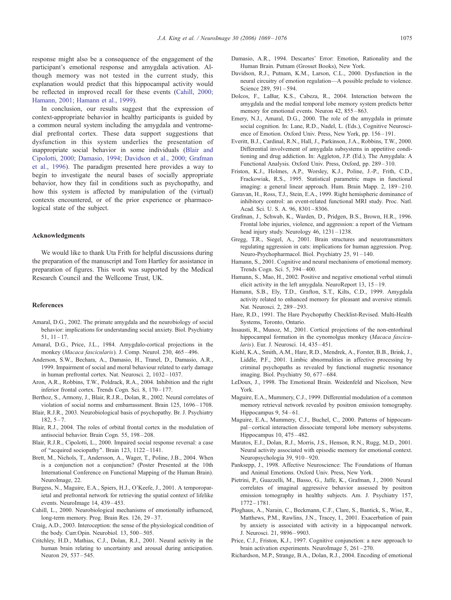<span id="page-6-0"></span>response might also be a consequence of the engagement of the participant's emotional response and amygdala activation. Although memory was not tested in the current study, this explanation would predict that this hippocampal activity would be reflected in improved recall for these events (Cahill, 2000; Hamann, 2001; Hamann et al., 1999).

In conclusion, our results suggest that the expression of context-appropriate behavior in healthy participants is guided by a common neural system including the amygdala and ventromedial prefrontal cortex. These data support suggestions that dysfunction in this system underlies the presentation of inappropriate social behavior in some individuals (Blair and Cipolotti, 2000; Damasio, 1994; Davidson et al., 2000; Grafman et al., 1996). The paradigm presented here provides a way to begin to investigate the neural bases of socially appropriate behavior, how they fail in conditions such as psychopathy, and how this system is affected by manipulation of the (virtual) contexts encountered, or of the prior experience or pharmacological state of the subject.

### Acknowledgments

We would like to thank Uta Frith for helpful discussions during the preparation of the manuscript and Tom Hartley for assistance in preparation of figures. This work was supported by the Medical Research Council and the Wellcome Trust, UK.

#### References

- Amaral, D.G., 2002. The primate amygdala and the neurobiology of social behavior: implications for understanding social anxiety. Biol. Psychiatry  $51, 11 - 17.$
- Amaral, D.G., Price, J.L., 1984. Amygdalo-cortical projections in the monkey (Macaca fascicularis). J. Comp. Neurol. 230, 465 – 496.
- Anderson, S.W., Bechara, A., Damasio, H., Tranel, D., Damasio, A.R., 1999. Impairment of social and moral behaviour related to early damage in human prefrontal cortex. Nat. Neurosci. 2, 1032 – 1037.
- Aron, A.R., Robbins, T.W., Poldrack, R.A., 2004. Inhibition and the right inferior frontal cortex. Trends Cogn. Sci. 8, 170-177.
- Berthoz, S., Armony, J., Blair, R.J.R., Dolan, R., 2002. Neural correlates of violation of social norms and embarrassment. Brain 125, 1696-1708.
- Blair, R.J.R., 2003. Neurobiological basis of psychopathy. Br. J. Psychiatry  $182, 5 - 7.$
- Blair, R.J., 2004. The roles of orbital frontal cortex in the modulation of antisocial behavior. Brain Cogn. 55, 198 – 208.
- Blair, R.J.R., Cipolotti, L., 2000. Impaired social response reversal: a case of "acquired sociopathy". Brain 123, 1122-1141.
- Brett, M., Nichols, T., Andersson, A., Wager, T., Poline, J.B., 2004. When is a conjunction not a conjunction? (Poster Presented at the 10th International Conference on Functional Mapping of the Human Brain). NeuroImage, 22.
- Burgess, N., Maguire, E.A., Spiers, H.J., O'Keefe, J., 2001. A temporoparietal and prefrontal network for retrieving the spatial context of lifelike events. NeuroImage 14, 439-453.
- Cahill, L., 2000. Neurobiological mechanisms of emotionally influenced, long-term memory. Prog. Brain Res. 126, 29-37.
- Craig, A.D., 2003. Interoception: the sense of the physiological condition of the body. Curr.Opin. Neurobiol. 13, 500-505.
- Critchley, H.D., Mathias, C.J., Dolan, R.J., 2001. Neural activity in the human brain relating to uncertainty and arousal during anticipation. Neuron 29, 537–545.
- Damasio, A.R., 1994. Descartes' Error: Emotion, Rationality and the Human Brain. Putnam (Grosset Books), New York.
- Davidson, R.J., Putnam, K.M., Larson, C.L., 2000. Dysfunction in the neural circuitry of emotion regulation—A possible prelude to violence. Science 289, 591-594.
- Dolcos, F., LaBar, K.S., Cabeza, R., 2004. Interaction between the amygdala and the medial temporal lobe memory system predicts better memory for emotional events. Neuron 42, 855-863.
- Emery, N.J., Amaral, D.G., 2000. The role of the amygdala in primate social cognition. In: Lane, R.D., Nadel, L. (Eds.), Cognitive Neuroscience of Emotion. Oxford Univ. Press, New York, pp. 156–191.
- Everitt, B.J., Cardinal, R.N., Hall, J., Parkinson, J.A., Robbins, T.W., 2000. Differential involvement of amygdala subsystems in appetitive conditioning and drug addiction. In: Aggleton, J.P. (Ed.), The Amygdala: A Functional Analysis. Oxford Univ. Press, Oxford, pp. 289 – 310.
- Friston, K.J., Holmes, A.P., Worsley, K.J., Poline, J.-P., Frith, C.D., Frackowiak, R.S., 1995. Statistical parametric maps in functional imaging: a general linear approach. Hum. Brain Mapp. 2, 189-210.
- Garavan, H., Ross, T.J., Stein, E.A., 1999. Right hemispheric dominance of inhibitory control: an event-related functional MRI study. Proc. Natl. Acad. Sci. U. S. A. 96, 8301 – 8306.
- Grafman, J., Schwab, K., Warden, D., Pridgen, B.S., Brown, H.R., 1996. Frontal lobe injuries, violence, and aggression: a report of the Vietnam head injury study. Neurology 46, 1231-1238.
- Gregg, T.R., Siegel, A., 2001. Brain structures and neurotransmitters regulating aggression in cats: implications for human aggression. Prog. Neuro-Psychopharmacol. Biol. Psychiatry 25, 91 – 140.
- Hamann, S., 2001. Cognitive and neural mechanisms of emotional memory. Trends Cogn. Sci. 5, 394 – 400.
- Hamann, S., Mao, H., 2002. Positive and negative emotional verbal stimuli elicit activity in the left amygdala. NeuroReport 13, 15–19.
- Hamann, S.B., Ely, T.D., Grafton, S.T., Kilts, C.D., 1999. Amygdala activity related to enhanced memory for pleasant and aversive stimuli. Nat. Neurosci. 2, 289-293.
- Hare, R.D., 1991. The Hare Psychopathy Checklist-Revised. Multi-Health Systems, Toronto, Ontario.
- Insausti, R., Munoz, M., 2001. Cortical projections of the non-entorhinal hippocampal formation in the cynomolgus monkey (Macaca fascicularis). Eur. J. Neurosci. 14, 435 – 451.
- Kiehl, K.A., Smith, A.M., Hare, R.D., Mendrek, A., Forster, B.B., Brink, J., Liddle, P.F., 2001. Limbic abnormalities in affective processing by criminal psychopaths as revealed by functional magnetic resonance imaging. Biol. Psychiatry 50, 677 – 684.
- LeDoux, J., 1998. The Emotional Brain. Weidenfeld and Nicolson, New York.
- Maguire, E.A., Mummery, C.J., 1999. Differential modulation of a common memory retrieval network revealed by positron emission tomography. Hippocampus 9,  $54 - 61$ .
- Maguire, E.A., Mummery, C.J., Buchel, C., 2000. Patterns of hippocampal – cortical interaction dissociate temporal lobe memory subsystems. Hippocampus 10, 475 – 482.
- Maratos, E.J., Dolan, R.J., Morris, J.S., Henson, R.N., Rugg, M.D., 2001. Neural activity associated with episodic memory for emotional context. Neuropsychologia 39, 910-920.
- Panksepp, J., 1998. Affective Neuroscience: The Foundations of Human and Animal Emotions. Oxford Univ. Press, New York.
- Pietrini, P., Guazzelli, M., Basso, G., Jaffe, K., Grafman, J., 2000. Neural correlates of imaginal aggressive behavior assessed by positron emission tomography in healthy subjects. Am. J. Psychiatry 157, 1772 – 1781.
- Ploghaus, A., Narain, C., Beckmann, C.F., Clare, S., Bantick, S., Wise, R., Matthews, P.M., Rawlins, J.N., Tracey, I., 2001. Exacerbation of pain by anxiety is associated with activity in a hippocampal network. J. Neurosci. 21, 9896 – 9903.
- Price, C.J., Friston, K.J., 1997. Cognitive conjunction: a new approach to brain activation experiments. NeuroImage  $5, 261 - 270$ .
- Richardson, M.P., Strange, B.A., Dolan, R.J., 2004. Encoding of emotional